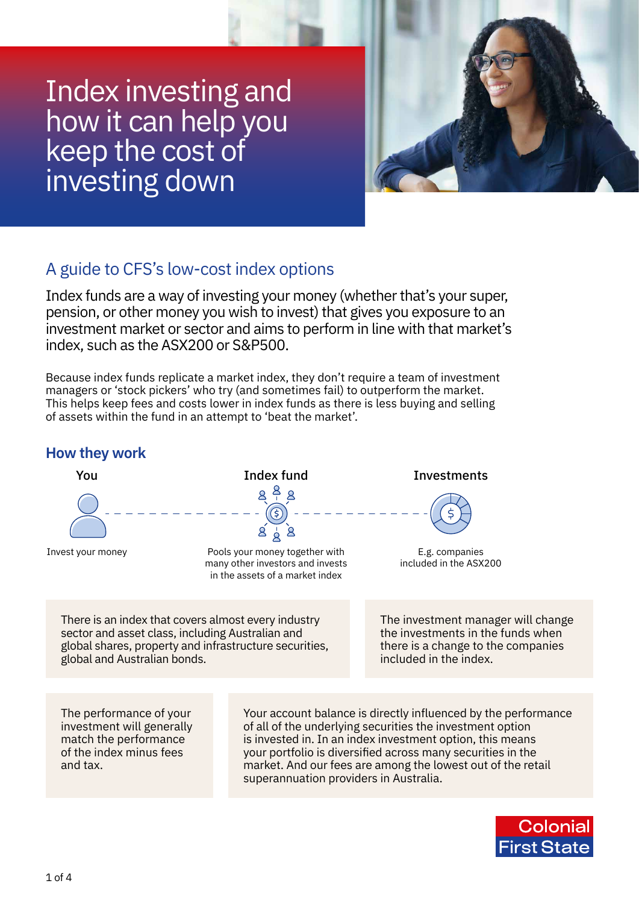# Index investing and how it can help you keep the cost of investing down



## A guide to CFS's low-cost index options

Index funds are a way of investing your money (whether that's your super, pension, or other money you wish to invest) that gives you exposure to an investment market or sector and aims to perform in line with that market's index, such as the ASX200 or S&P500.

Because index funds replicate a market index, they don't require a team of investment managers or 'stock pickers' who try (and sometimes fail) to outperform the market. This helps keep fees and costs lower in index funds as there is less buying and selling of assets within the fund in an attempt to 'beat the market'.

## **How they work**



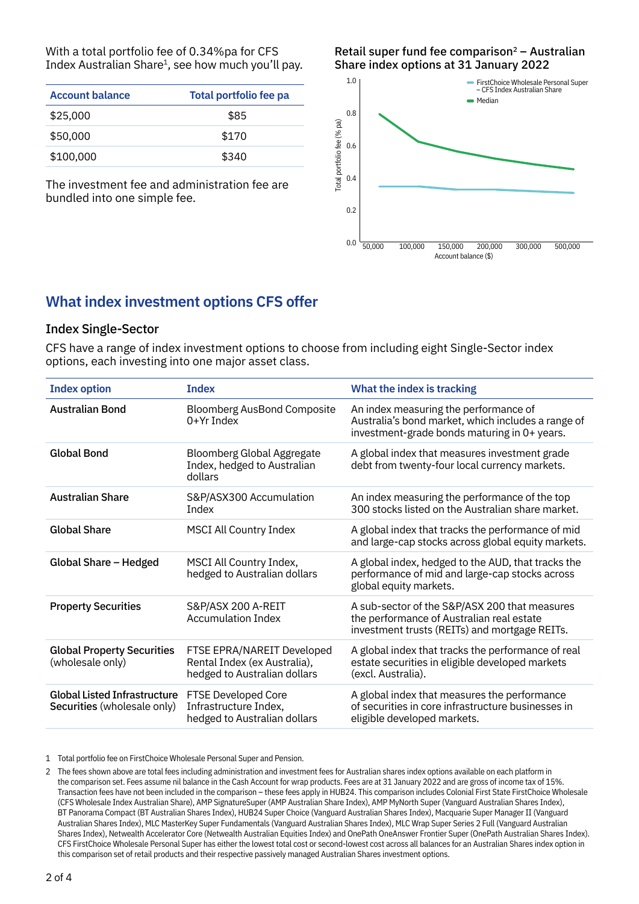With a total portfolio fee of 0.34%pa for CFS Index Australian Share<sup>1</sup>, see how much you'll pay.

| <b>Account balance</b> | Total portfolio fee pa |  |
|------------------------|------------------------|--|
| \$25,000               | \$85                   |  |
| \$50,000               | \$170                  |  |
| \$100,000              | \$340                  |  |

The investment fee and administration fee are bundled into one simple fee.

Retail super fund fee comparison $2 -$  Australian Share index options at 31 January 2022



## **What index investment options CFS offer**

#### Index Single-Sector

CFS have a range of index investment options to choose from including eight Single-Sector index options, each investing into one major asset class.

| <b>Index option</b>                                                | <b>Index</b>                                                                               | What the index is tracking                                                                                                                  |
|--------------------------------------------------------------------|--------------------------------------------------------------------------------------------|---------------------------------------------------------------------------------------------------------------------------------------------|
| <b>Australian Bond</b>                                             | <b>Bloomberg AusBond Composite</b><br>$0+Yr$ Index                                         | An index measuring the performance of<br>Australia's bond market, which includes a range of<br>investment-grade bonds maturing in 0+ years. |
| <b>Global Bond</b>                                                 | <b>Bloomberg Global Aggregate</b><br>Index, hedged to Australian<br>dollars                | A global index that measures investment grade<br>debt from twenty-four local currency markets.                                              |
| <b>Australian Share</b>                                            | S&P/ASX300 Accumulation<br>Index                                                           | An index measuring the performance of the top<br>300 stocks listed on the Australian share market.                                          |
| <b>Global Share</b>                                                | <b>MSCI All Country Index</b>                                                              | A global index that tracks the performance of mid<br>and large-cap stocks across global equity markets.                                     |
| Global Share - Hedged                                              | MSCI All Country Index,<br>hedged to Australian dollars                                    | A global index, hedged to the AUD, that tracks the<br>performance of mid and large-cap stocks across<br>global equity markets.              |
| <b>Property Securities</b>                                         | S&P/ASX 200 A-REIT<br><b>Accumulation Index</b>                                            | A sub-sector of the S&P/ASX 200 that measures<br>the performance of Australian real estate<br>investment trusts (REITs) and mortgage REITs. |
| <b>Global Property Securities</b><br>(wholesale only)              | FTSE EPRA/NAREIT Developed<br>Rental Index (ex Australia),<br>hedged to Australian dollars | A global index that tracks the performance of real<br>estate securities in eligible developed markets<br>(excl. Australia).                 |
| <b>Global Listed Infrastructure</b><br>Securities (wholesale only) | FTSE Developed Core<br>Infrastructure Index,<br>hedged to Australian dollars               | A global index that measures the performance<br>of securities in core infrastructure businesses in<br>eligible developed markets.           |

1 Total portfolio fee on FirstChoice Wholesale Personal Super and Pension.

<sup>2</sup> The fees shown above are total fees including administration and investment fees for Australian shares index options available on each platform in the comparison set. Fees assume nil balance in the Cash Account for wrap products. Fees are at 31 January 2022 and are gross of income tax of 15%. Transaction fees have not been included in the comparison – these fees apply in HUB24. This comparison includes Colonial First State FirstChoice Wholesale (CFS Wholesale Index Australian Share), AMP SignatureSuper (AMP Australian Share Index), AMP MyNorth Super (Vanguard Australian Shares Index), BT Panorama Compact (BT Australian Shares Index), HUB24 Super Choice (Vanguard Australian Shares Index), Macquarie Super Manager II (Vanguard Australian Shares Index), MLC MasterKey Super Fundamentals (Vanguard Australian Shares Index), MLC Wrap Super Series 2 Full (Vanguard Australian Shares Index), Netwealth Accelerator Core (Netwealth Australian Equities Index) and OnePath OneAnswer Frontier Super (OnePath Australian Shares Index). CFS FirstChoice Wholesale Personal Super has either the lowest total cost or second-lowest cost across all balances for an Australian Shares index option in this comparison set of retail products and their respective passively managed Australian Shares investment options.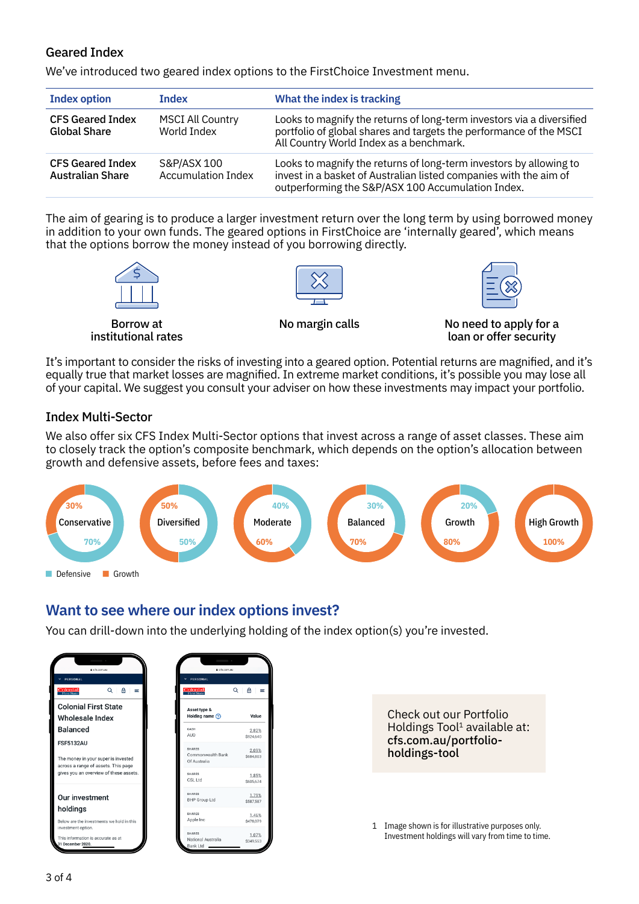#### Geared Index

We've introduced two geared index options to the FirstChoice Investment menu.

| <b>Index option</b>                                | Index                                    | What the index is tracking                                                                                                                                                                   |
|----------------------------------------------------|------------------------------------------|----------------------------------------------------------------------------------------------------------------------------------------------------------------------------------------------|
| <b>CFS Geared Index</b><br><b>Global Share</b>     | <b>MSCI All Country</b><br>World Index   | Looks to magnify the returns of long-term investors via a diversified<br>portfolio of global shares and targets the performance of the MSCI<br>All Country World Index as a benchmark.       |
| <b>CFS Geared Index</b><br><b>Australian Share</b> | S&P/ASX 100<br><b>Accumulation Index</b> | Looks to magnify the returns of long-term investors by allowing to<br>invest in a basket of Australian listed companies with the aim of<br>outperforming the S&P/ASX 100 Accumulation Index. |

The aim of gearing is to produce a larger investment return over the long term by using borrowed money in addition to your own funds. The geared options in FirstChoice are 'internally geared', which means that the options borrow the money instead of you borrowing directly.





Borrow at institutional rates

No margin calls No need to apply for a loan or offer security

It's important to consider the risks of investing into a geared option. Potential returns are magnified, and it's equally true that market losses are magnified. In extreme market conditions, it's possible you may lose all of your capital. We suggest you consult your adviser on how these investments may impact your portfolio.

#### Index Multi-Sector

We also offer six CFS Index Multi-Sector options that invest across a range of asset classes. These aim to closely track the option's composite benchmark, which depends on the option's allocation between growth and defensive assets, before fees and taxes:



## **Want to see where our index options invest?**

You can drill-down into the underlying holding of the index option(s) you're invested.

| e cfs.com.au                                                                                   | e cfs.com.au                                       |                    |
|------------------------------------------------------------------------------------------------|----------------------------------------------------|--------------------|
| <b>V PERSONAL</b><br><b>Colonial</b><br>Q<br>恕<br>$=$                                          | PERSONAL<br>v<br><b>Colonial</b><br>Q              | A                  |
| <b>Colonial First State</b><br>Wholesale Index                                                 | Asset type &<br>Holding name $(?)$                 | Value              |
| <b>Balanced</b>                                                                                | CASH<br><b>AUD</b>                                 | 2.82%<br>\$924,640 |
| <b>FSF5132AU</b><br>The money in your super is invested<br>across a range of assets. This page | <b>SHARES</b><br>Commonwealth Bank<br>Of Australia | 2.09%<br>\$684,803 |
| gives you an overview of these assets.                                                         | <b>SHARES</b><br>CSL Ltd                           | 1.85%<br>\$605.674 |
| Our investment                                                                                 | <b>SHARES</b><br><b>BHP Group Ltd</b>              | 1.79%<br>\$587.587 |
| holdings<br>Below are the investments we hold in this                                          | <b>SHARES</b><br>Apple Inc                         | 1.46%<br>\$478,079 |
| investment option.<br>This information is accurate as at<br>31 December 2020.                  | <b>SHARES</b><br>National Australia<br>Bank Ltd    | 1.07%<br>\$349,553 |

Check out our Portfolio Holdings Tool<sup>1</sup> available at: [cfs.com.au/portfolio](http://cfs.com.au/portfolio-holdings-tool)[holdings-tool](http://cfs.com.au/portfolio-holdings-tool)

1 Image shown is for illustrative purposes only. Investment holdings will vary from time to time.